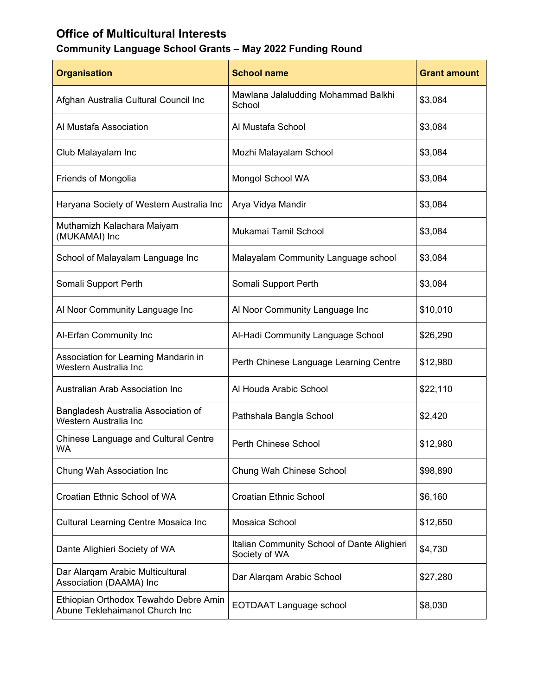# **Office of Multicultural Interests**

# **Community Language School Grants – May 2022 Funding Round**

| <b>Organisation</b>                                                     | <b>School name</b>                                           | <b>Grant amount</b> |
|-------------------------------------------------------------------------|--------------------------------------------------------------|---------------------|
| Afghan Australia Cultural Council Inc                                   | Mawlana Jalaludding Mohammad Balkhi<br>School                | \$3,084             |
| Al Mustafa Association                                                  | Al Mustafa School                                            | \$3,084             |
| Club Malayalam Inc                                                      | Mozhi Malayalam School                                       | \$3,084             |
| Friends of Mongolia                                                     | Mongol School WA                                             | \$3,084             |
| Haryana Society of Western Australia Inc                                | Arya Vidya Mandir                                            | \$3,084             |
| Muthamizh Kalachara Maiyam<br>(MUKAMAI) Inc                             | Mukamai Tamil School                                         | \$3,084             |
| School of Malayalam Language Inc                                        | Malayalam Community Language school                          | \$3,084             |
| Somali Support Perth                                                    | Somali Support Perth                                         | \$3,084             |
| Al Noor Community Language Inc                                          | Al Noor Community Language Inc                               | \$10,010            |
| Al-Erfan Community Inc                                                  | Al-Hadi Community Language School                            | \$26,290            |
| Association for Learning Mandarin in<br>Western Australia Inc           | Perth Chinese Language Learning Centre                       | \$12,980            |
| Australian Arab Association Inc                                         | Al Houda Arabic School                                       | \$22,110            |
| Bangladesh Australia Association of<br>Western Australia Inc            | Pathshala Bangla School                                      | \$2,420             |
| <b>Chinese Language and Cultural Centre</b><br>WA                       | Perth Chinese School                                         | \$12,980            |
| Chung Wah Association Inc                                               | Chung Wah Chinese School                                     | \$98,890            |
| Croatian Ethnic School of WA                                            | <b>Croatian Ethnic School</b>                                | \$6,160             |
| Cultural Learning Centre Mosaica Inc                                    | Mosaica School                                               | \$12,650            |
| Dante Alighieri Society of WA                                           | Italian Community School of Dante Alighieri<br>Society of WA | \$4,730             |
| Dar Alarqam Arabic Multicultural<br>Association (DAAMA) Inc             | Dar Alarqam Arabic School                                    | \$27,280            |
| Ethiopian Orthodox Tewahdo Debre Amin<br>Abune Teklehaimanot Church Inc | <b>EOTDAAT Language school</b>                               | \$8,030             |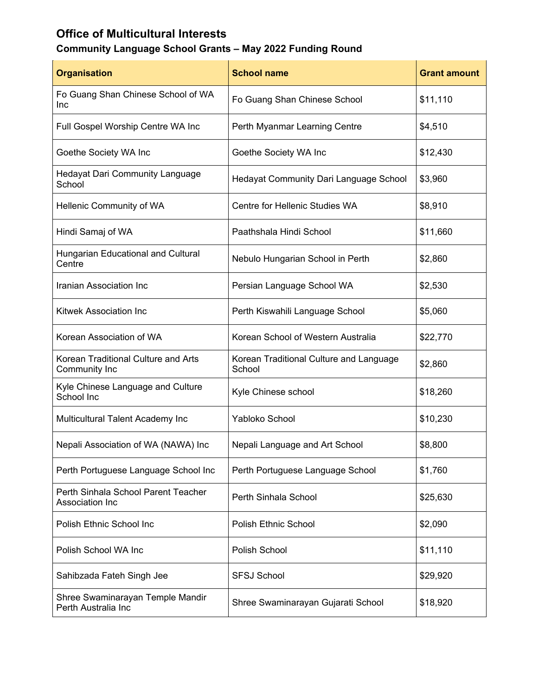# **Office of Multicultural Interests**

# **Community Language School Grants – May 2022 Funding Round**

| <b>Organisation</b>                                     | <b>School name</b>                                | <b>Grant amount</b> |
|---------------------------------------------------------|---------------------------------------------------|---------------------|
| Fo Guang Shan Chinese School of WA<br>Inc               | Fo Guang Shan Chinese School                      | \$11,110            |
| Full Gospel Worship Centre WA Inc                       | Perth Myanmar Learning Centre                     | \$4,510             |
| Goethe Society WA Inc                                   | Goethe Society WA Inc                             | \$12,430            |
| <b>Hedayat Dari Community Language</b><br>School        | Hedayat Community Dari Language School            | \$3,960             |
| Hellenic Community of WA                                | Centre for Hellenic Studies WA                    | \$8,910             |
| Hindi Samaj of WA                                       | Paathshala Hindi School                           | \$11,660            |
| Hungarian Educational and Cultural<br>Centre            | Nebulo Hungarian School in Perth                  | \$2,860             |
| Iranian Association Inc                                 | Persian Language School WA                        | \$2,530             |
| <b>Kitwek Association Inc</b>                           | Perth Kiswahili Language School                   | \$5,060             |
| Korean Association of WA                                | Korean School of Western Australia                | \$22,770            |
| Korean Traditional Culture and Arts<br>Community Inc    | Korean Traditional Culture and Language<br>School | \$2,860             |
| Kyle Chinese Language and Culture<br>School Inc         | Kyle Chinese school                               | \$18,260            |
| Multicultural Talent Academy Inc                        | Yabloko School                                    | \$10,230            |
| Nepali Association of WA (NAWA) Inc                     | Nepali Language and Art School                    | \$8,800             |
| Perth Portuguese Language School Inc                    | Perth Portuguese Language School                  | \$1,760             |
| Perth Sinhala School Parent Teacher<br>Association Inc  | Perth Sinhala School                              | \$25,630            |
| Polish Ethnic School Inc                                | <b>Polish Ethnic School</b>                       | \$2,090             |
| Polish School WA Inc                                    | Polish School                                     | \$11,110            |
| Sahibzada Fateh Singh Jee                               | <b>SFSJ School</b>                                | \$29,920            |
| Shree Swaminarayan Temple Mandir<br>Perth Australia Inc | Shree Swaminarayan Gujarati School                | \$18,920            |